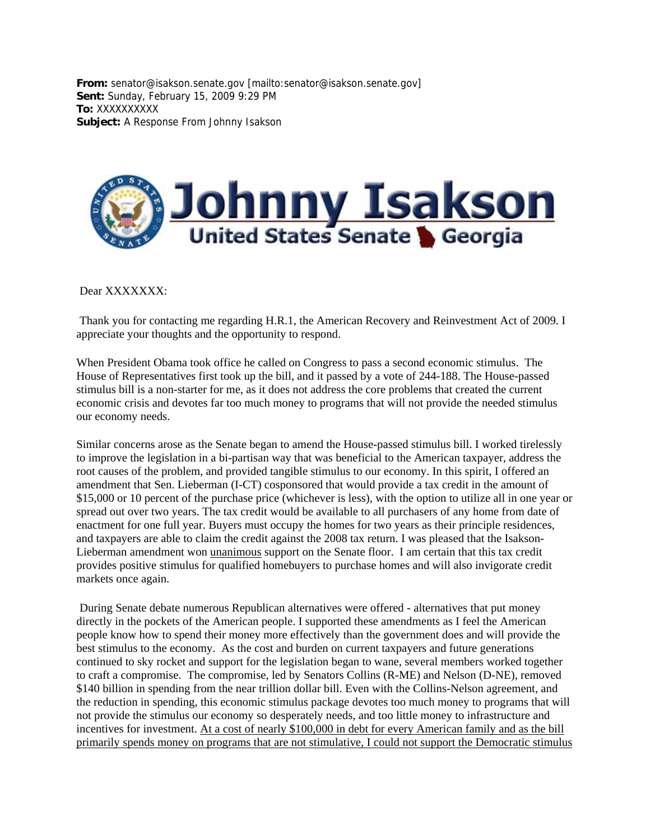**From:** senator@isakson.senate.gov [mailto:senator@isakson.senate.gov] **Sent:** Sunday, February 15, 2009 9:29 PM **To:** XXXXXXXXXX **Subject:** A Response From Johnny Isakson



## Dear XXXXXXX:

Thank you for contacting me regarding H.R.1, the American Recovery and Reinvestment Act of 2009. I appreciate your thoughts and the opportunity to respond.

When President Obama took office he called on Congress to pass a second economic stimulus. The House of Representatives first took up the bill, and it passed by a vote of 244-188. The House-passed stimulus bill is a non-starter for me, as it does not address the core problems that created the current economic crisis and devotes far too much money to programs that will not provide the needed stimulus our economy needs.

Similar concerns arose as the Senate began to amend the House-passed stimulus bill. I worked tirelessly to improve the legislation in a bi-partisan way that was beneficial to the American taxpayer, address the root causes of the problem, and provided tangible stimulus to our economy. In this spirit, I offered an amendment that Sen. Lieberman (I-CT) cosponsored that would provide a tax credit in the amount of \$15,000 or 10 percent of the purchase price (whichever is less), with the option to utilize all in one year or spread out over two years. The tax credit would be available to all purchasers of any home from date of enactment for one full year. Buyers must occupy the homes for two years as their principle residences, and taxpayers are able to claim the credit against the 2008 tax return. I was pleased that the Isakson-Lieberman amendment won unanimous support on the Senate floor. I am certain that this tax credit provides positive stimulus for qualified homebuyers to purchase homes and will also invigorate credit markets once again.

During Senate debate numerous Republican alternatives were offered - alternatives that put money directly in the pockets of the American people. I supported these amendments as I feel the American people know how to spend their money more effectively than the government does and will provide the best stimulus to the economy. As the cost and burden on current taxpayers and future generations continued to sky rocket and support for the legislation began to wane, several members worked together to craft a compromise. The compromise, led by Senators Collins (R-ME) and Nelson (D-NE), removed \$140 billion in spending from the near trillion dollar bill. Even with the Collins-Nelson agreement, and the reduction in spending, this economic stimulus package devotes too much money to programs that will not provide the stimulus our economy so desperately needs, and too little money to infrastructure and incentives for investment. At a cost of nearly \$100,000 in debt for every American family and as the bill primarily spends money on programs that are not stimulative, I could not support the Democratic stimulus